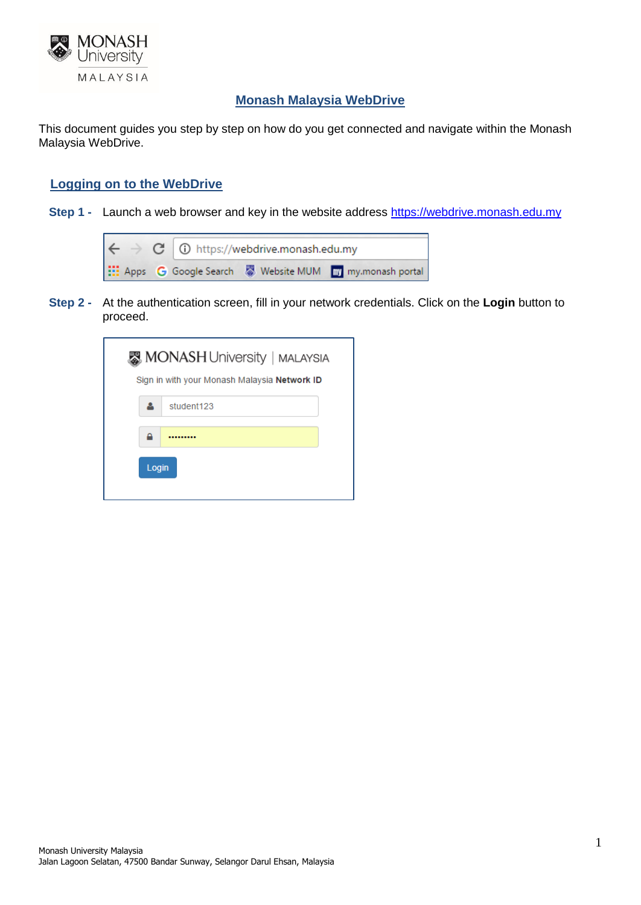

#### **Monash Malaysia WebDrive**

This document guides you step by step on how do you get connected and navigate within the Monash Malaysia WebDrive.

### **Logging on to the WebDrive**

**Step 1 -** Launch a web browser and key in the website address [https://webdrive.monash.edu.my](https://webdrive.monash.edu.my/)



**Step 2 -** At the authentication screen, fill in your network credentials. Click on the **Login** button to proceed.

| MONASH University   MALAYSIA |                                              |  |  |  |  |  |  |
|------------------------------|----------------------------------------------|--|--|--|--|--|--|
|                              | Sign in with your Monash Malaysia Network ID |  |  |  |  |  |  |
|                              | student123                                   |  |  |  |  |  |  |
|                              |                                              |  |  |  |  |  |  |
| Login                        |                                              |  |  |  |  |  |  |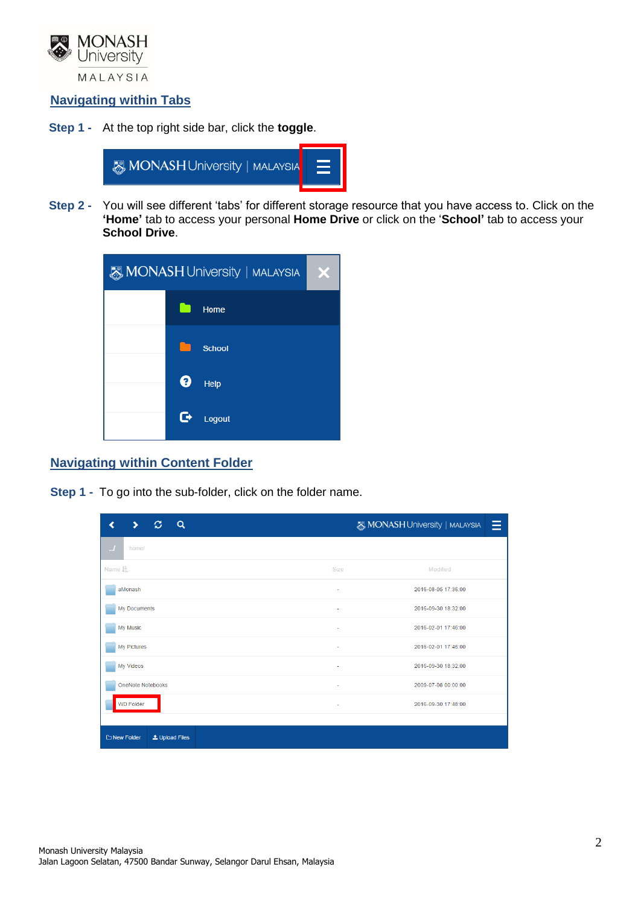

### **Navigating within Tabs**

**Step 1 -** At the top right side bar, click the **toggle**.



**Step 2 -** You will see different 'tabs' for different storage resource that you have access to. Click on the **'Home'** tab to access your personal **Home Drive** or click on the '**School'** tab to access your **School Drive**.



#### **Navigating within Content Folder**

**Step 1 -** To go into the sub-folder, click on the folder name.

| ø<br>$\alpha$<br>У<br>ℯ        |             | Ξ<br>MONASH University   MALAYSIA |
|--------------------------------|-------------|-----------------------------------|
| $\mathcal{A}$<br>home/         |             |                                   |
| Name LE                        | <b>Size</b> | Modified                          |
| aMonash                        | ٠           | 2016-08-05 17:36:00               |
| My Documents                   | ٠           | 2016-09-30 18:32:00               |
| My Music                       | ٠           | 2016-02-01 17:46:00               |
| My Pictures                    | ٠           | 2016-02-01 17:46:00               |
| My Videos                      | ٠           | 2016-09-30 18:32:00               |
| <b>OneNote Notebooks</b>       | ٠           | 2009-07-08 00:00:00               |
| <b>WD Folder</b>               | ٠           | 2016-09-30 17:48:00               |
|                                |             |                                   |
| L Upload Files<br>□ New Folder |             |                                   |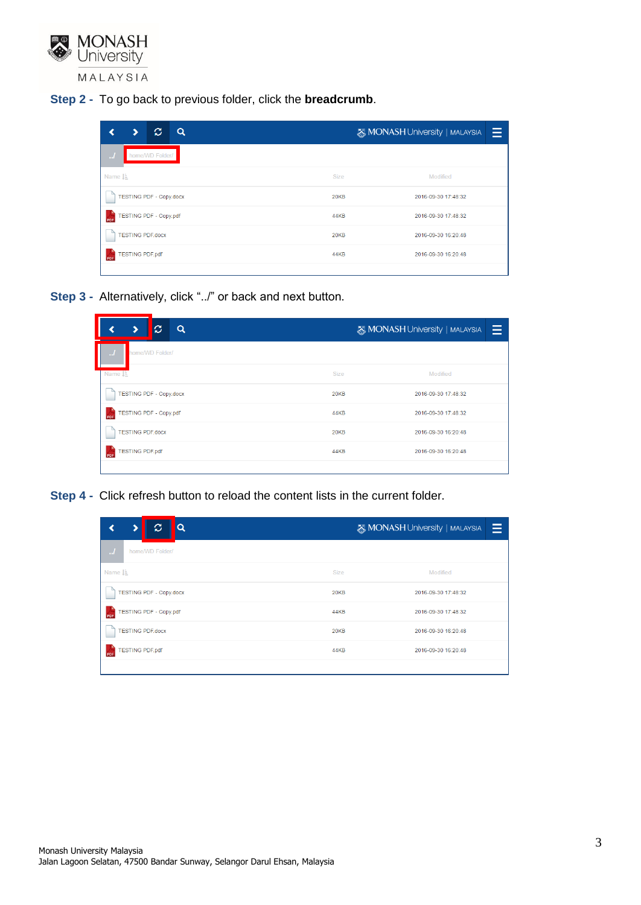

**Step 2 -** To go back to previous folder, click the **breadcrumb**.

|                                |                         | c                             | Q |             | Ξ<br>MONASH University   MALAYSIA |
|--------------------------------|-------------------------|-------------------------------|---|-------------|-----------------------------------|
| $\cdot$ .                      |                         | home/WD Folder/               |   |             |                                   |
| Name $I^{\pm}$                 |                         |                               |   | <b>Size</b> | Modified                          |
| <b>TESTING PDF - Copy.docx</b> |                         |                               |   | 20KB        | 2016-09-30 17:48:32               |
| PDF                            |                         | <b>TESTING PDF - Copy.pdf</b> |   | 44KB        | 2016-09-30 17:48:32               |
|                                | <b>TESTING PDF docx</b> |                               |   | 20KB        | 2016-09-30 16:20:48               |
| PDF                            | <b>TESTING PDF.pdf</b>  |                               |   | 44KB        | 2016-09-30 16:20:48               |
|                                |                         |                               |   |             |                                   |

**Step 3 -** Alternatively, click "../" or back and next button.

|                                      |                        | $\mathcal{C}$ | Q |  |  |             | MONASH University   MALAYSIA | Ξ |  |
|--------------------------------------|------------------------|---------------|---|--|--|-------------|------------------------------|---|--|
| Ι<br>home/WD Folder/                 |                        |               |   |  |  |             |                              |   |  |
| Name $I_{\pm}$                       |                        |               |   |  |  | <b>Size</b> | Modified                     |   |  |
| <b>TESTING PDF - Copy.docx</b>       |                        |               |   |  |  | 20KB        | 2016-09-30 17:48:32          |   |  |
| <b>TESTING PDF - Copy.pdf</b><br>PDF |                        |               |   |  |  | 44KB        | 2016-09-30 17:48:32          |   |  |
| <b>TESTING PDF docx</b>              |                        |               |   |  |  | 20KB        | 2016-09-30 16:20:48          |   |  |
| PDF                                  | <b>TESTING PDF.pdf</b> |               |   |  |  | 44KB        | 2016-09-30 16:20:48          |   |  |
|                                      |                        |               |   |  |  |             |                              |   |  |

**Step 4 -** Click refresh button to reload the content lists in the current folder.

|                                      |  | c                              | Q |                  | Ξ<br>MONASH University   MALAYSIA |
|--------------------------------------|--|--------------------------------|---|------------------|-----------------------------------|
| $\cdot$                              |  | home/WD Folder/                |   |                  |                                   |
| Name $I_{\pm}$                       |  |                                |   | <b>Size</b>      | Modified                          |
|                                      |  | <b>TESTING PDF - Copy.docx</b> |   | 20KB             | 2016-09-30 17:48:32               |
| <b>TESTING PDF - Copy.pdf</b><br>PDF |  |                                |   | 44KB             | 2016-09-30 17:48:32               |
|                                      |  | <b>TESTING PDF docx</b>        |   | 20 <sub>KB</sub> | 2016-09-30 16:20:48               |
| PDF                                  |  | <b>TESTING PDF.pdf</b>         |   | 44KB             | 2016-09-30 16:20:48               |
|                                      |  |                                |   |                  |                                   |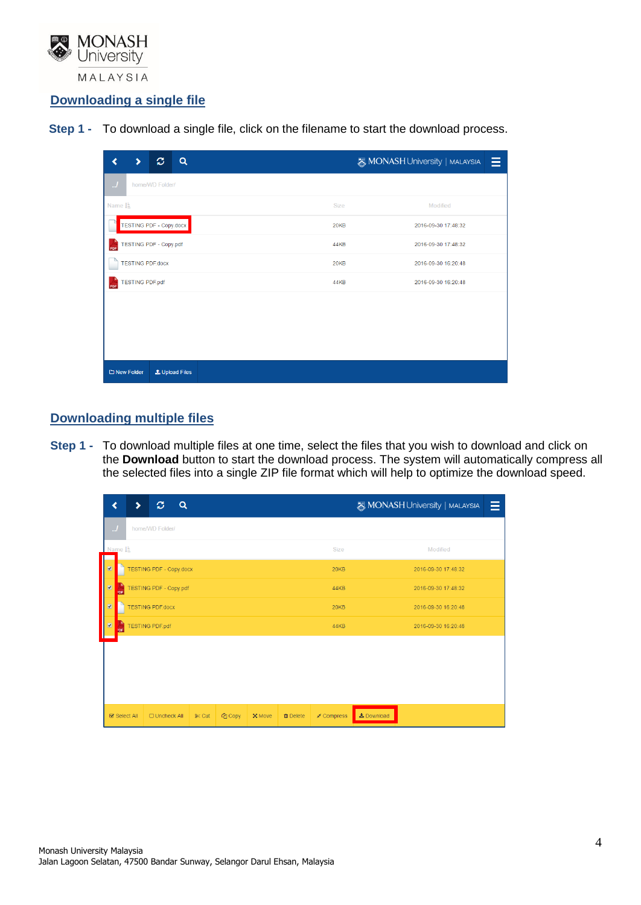

### **Downloading a single file**

**Step 1 -** To download a single file, click on the filename to start the download process.

| ø<br>$\alpha$<br>⋟                    |             | Ξ<br>MONASH University   MALAYSIA |
|---------------------------------------|-------------|-----------------------------------|
| $\cdot$<br>home/WD Folder/            |             |                                   |
| Name LE                               | <b>Size</b> | Modified                          |
| TESTING PDF - Copy.docx               | 20KB        | 2016-09-30 17:48:32               |
| <b>TESTING PDF - Copy.pdf</b><br>PDF  | 44KB        | 2016-09-30 17:48:32               |
| <b>TESTING PDF.docx</b>               | 20KB        | 2016-09-30 16:20:48               |
| <b>TESTING PDF.pdf</b><br>PDF         | 44KB        | 2016-09-30 16:20:48               |
|                                       |             |                                   |
|                                       |             |                                   |
|                                       |             |                                   |
|                                       |             |                                   |
| □ New Folder<br><b>1</b> Upload Files |             |                                   |

# **Downloading multiple files**

**Step 1 -** To download multiple files at one time, select the files that you wish to download and click on the **Download** button to start the download process. The system will automatically compress all the selected files into a single ZIP file format which will help to optimize the download speed.

|                                  | ∢                                                         | ⋗                   | c<br>Q                        |              |         |        |                 |                             |          | MONASH University   MALAYSIA | Ξ |
|----------------------------------|-----------------------------------------------------------|---------------------|-------------------------------|--------------|---------|--------|-----------------|-----------------------------|----------|------------------------------|---|
| $\mathcal{A}$<br>home/WD Folder/ |                                                           |                     |                               |              |         |        |                 |                             |          |                              |   |
|                                  | Name L                                                    |                     |                               |              |         |        |                 | <b>Size</b>                 |          | Modified                     |   |
|                                  | $\overline{\mathbf{z}}$<br><b>TESTING PDF - Copy.docx</b> |                     |                               |              |         |        |                 | 20KB                        |          | 2016-09-30 17:48:32          |   |
|                                  | ☑<br><b>PDF</b>                                           |                     | <b>TESTING PDF - Copy.pdf</b> |              |         |        |                 | 44KB                        |          | 2016-09-30 17:48:32          |   |
|                                  | $\overline{\mathbf{z}}$                                   |                     | <b>TESTING PDF docx</b>       |              |         |        |                 | 20KB<br>2016-09-30 16:20:48 |          |                              |   |
|                                  | $\overline{\mathbf{z}}$<br>PDF                            |                     | <b>TESTING PDF.pdf</b>        |              |         |        |                 | 44KB                        |          | 2016-09-30 16:20:48          |   |
|                                  |                                                           |                     |                               |              |         |        |                 |                             |          |                              |   |
|                                  |                                                           |                     |                               |              |         |        |                 |                             |          |                              |   |
|                                  |                                                           |                     |                               |              |         |        |                 |                             |          |                              |   |
|                                  |                                                           |                     |                               |              |         |        |                 |                             |          |                              |   |
|                                  |                                                           | <b>S</b> Select All | O Uncheck All                 | <b>S</b> Cut | th Copy | X Move | <b>û</b> Delete | " <sup>★</sup> Compress     | Lownload |                              |   |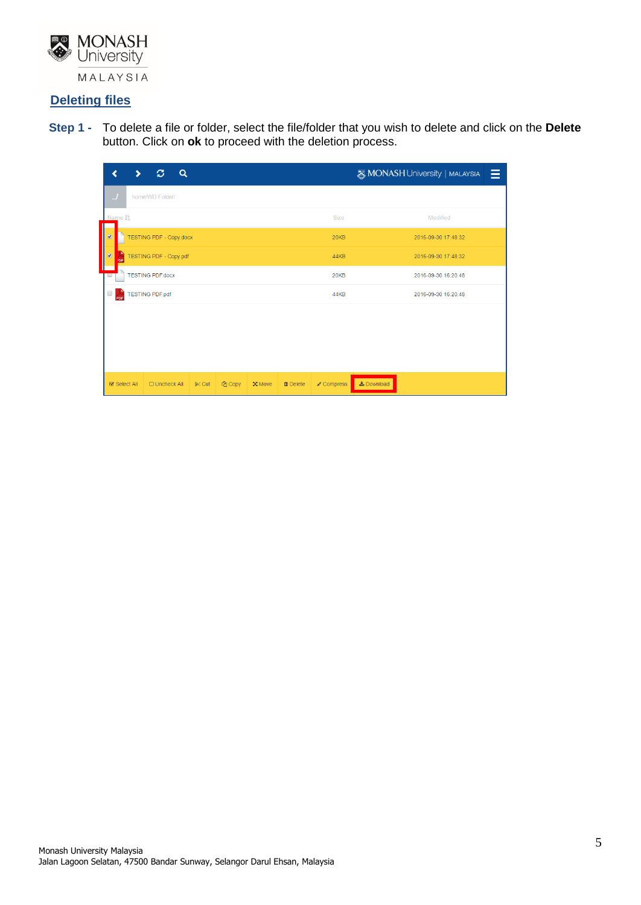

# **Deleting files**

**Step 1 -** To delete a file or folder, select the file/folder that you wish to delete and click on the **Delete** button. Click on **ok** to proceed with the deletion process.

| ∢<br>⋟                                                          | ø<br>Q                  |              |         |        |                 | MONASH University   MALAYSIA | Ξ                 |                     |  |
|-----------------------------------------------------------------|-------------------------|--------------|---------|--------|-----------------|------------------------------|-------------------|---------------------|--|
| $\mathcal{A}$                                                   | home/WD Folder/         |              |         |        |                 |                              |                   |                     |  |
| Name L                                                          |                         |              |         |        |                 | <b>Size</b>                  |                   | Modified            |  |
| $\overline{\mathbf{z}}$<br><b>TESTING PDF - Copy.docx</b>       |                         |              |         |        |                 | 20KB                         |                   | 2016-09-30 17:48:32 |  |
| $\overline{\mathbf{z}}$<br><b>TESTING PDF - Copy.pdf</b><br>*DF |                         |              |         |        |                 | 44KB                         |                   | 2016-09-30 17:48:32 |  |
| U                                                               | <b>TESTING PDF.docx</b> |              |         |        |                 | 20KB                         |                   | 2016-09-30 16:20:48 |  |
| $\Box$<br>PDF                                                   | <b>TESTING PDF.pdf</b>  |              |         |        |                 | 44KB                         |                   | 2016-09-30 16:20:48 |  |
|                                                                 |                         |              |         |        |                 |                              |                   |                     |  |
|                                                                 |                         |              |         |        |                 |                              |                   |                     |  |
|                                                                 |                         |              |         |        |                 |                              |                   |                     |  |
|                                                                 |                         |              |         |        |                 |                              |                   |                     |  |
| <b>S</b> Select All                                             | O Uncheck All           | <b>S</b> Cut | th Copy | X Move | <b>面</b> Delete | " <sup>⊭</sup> Compress      | <b>±</b> Download |                     |  |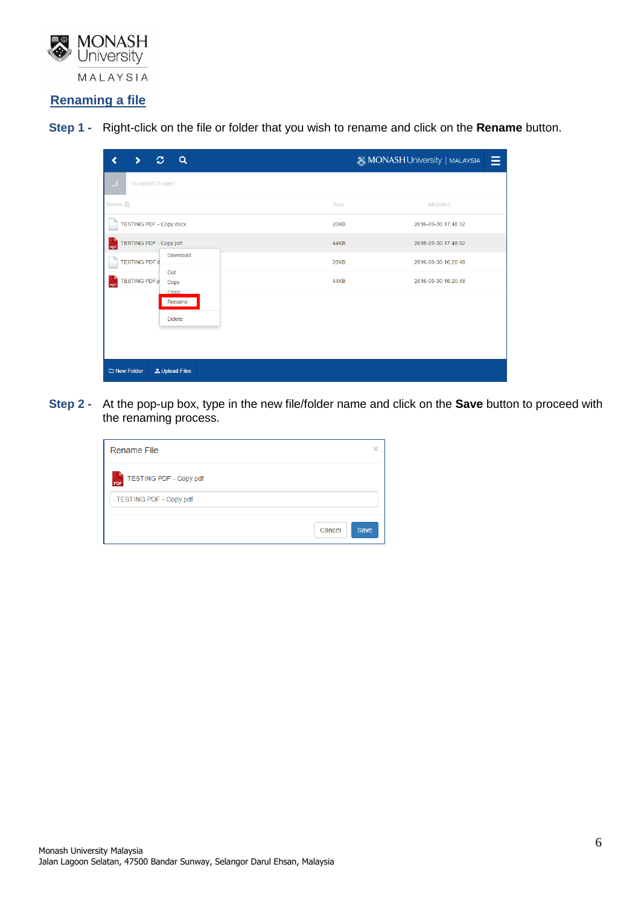

# **Renaming a file**

**Step 1 -** Right-click on the file or folder that you wish to rename and click on the **Rename** button.

| $\mathfrak{S}$<br>⋟                       | $\mathbf{Q}$          |             | 言<br>MONASH University   MALAYSIA |
|-------------------------------------------|-----------------------|-------------|-----------------------------------|
| $\cdot$<br>home/WD Folder/                |                       |             |                                   |
| Name L                                    |                       | <b>Size</b> | Modified                          |
| <b>TESTING PDF - Copy.docx</b>            |                       | <b>20KB</b> | 2016-09-30 17:48:32               |
| TESTING PDF - Copy.pdf<br>$\rho_{\rm DF}$ |                       | <b>44KB</b> | 2016-09-30 17:48:32               |
| <b>TESTING PDF.d</b>                      | Download              | 20KB        | 2016-09-30 16:20:48               |
| <b>TESTING PDF.p</b><br>PDF               | Cut<br>Copy           | 44KB        | 2016-09-30 16:20:48               |
|                                           | Paste<br>Rename       |             |                                   |
|                                           | <b>Delete</b>         |             |                                   |
|                                           |                       |             |                                   |
|                                           |                       |             |                                   |
| □ New Folder                              | <b>1</b> Upload Files |             |                                   |

**Step 2 -** At the pop-up box, type in the new file/folder name and click on the **Save** button to proceed with the renaming process.

| <b>Rename File</b>                          | ×                     |
|---------------------------------------------|-----------------------|
| <b>TESTING PDF - Copy.pdf</b><br><b>PDF</b> |                       |
| <b>TESTING PDF - Copy.pdf</b>               |                       |
|                                             | Cancel<br><b>Save</b> |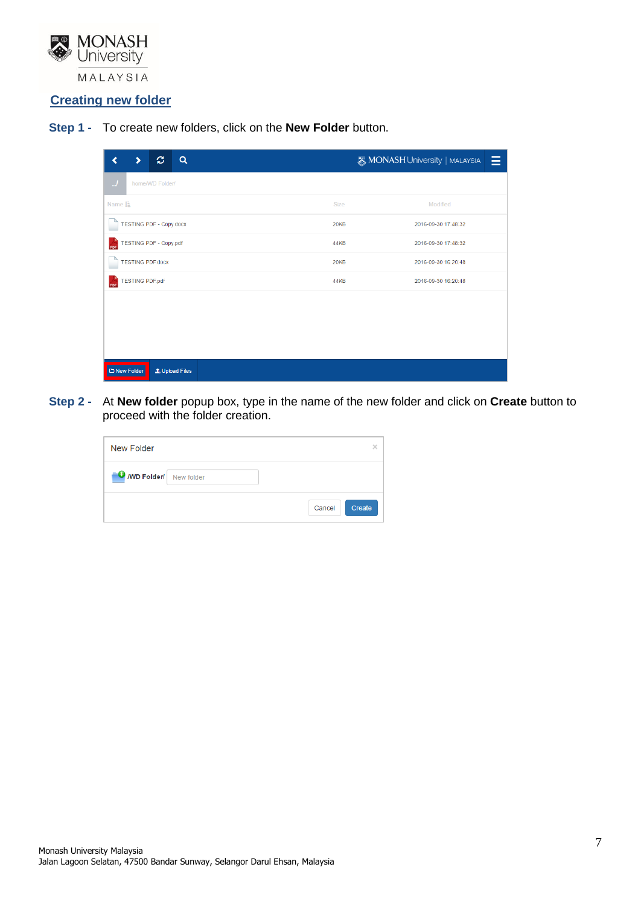

# **Creating new folder**

**Step 1 -** To create new folders, click on the **New Folder** button.

| ø<br>$\alpha$                                                 |             | <b>&amp;MONASH University   MALAYSIA</b><br>Ξ |
|---------------------------------------------------------------|-------------|-----------------------------------------------|
| $\cdot$<br>home/WD Folder/                                    |             |                                               |
| Name $I_{\pm}$                                                | <b>Size</b> | Modified                                      |
| <b>TESTING PDF - Copy.docx</b>                                | 20KB        | 2016-09-30 17:48:32                           |
| <b>TESTING PDF - Copy.pdf</b><br>$\frac{\lambda}{\text{PDF}}$ | 44KB        | 2016-09-30 17:48:32                           |
| <b>TESTING PDF.docx</b>                                       | 20KB        | 2016-09-30 16:20:48                           |
| <b>TESTING PDF.pdf</b><br>$\rho_{\rm DF}$                     | 44KB        | 2016-09-30 16:20:48                           |
|                                                               |             |                                               |
|                                                               |             |                                               |
|                                                               |             |                                               |
|                                                               |             |                                               |
| □ New Folder<br><b>1</b> Upload Files                         |             |                                               |

**Step 2 -** At **New folder** popup box, type in the name of the new folder and click on **Create** button to proceed with the folder creation.

| New Folder                      | ×                |  |
|---------------------------------|------------------|--|
| <b>O</b> /WD Folder/ New folder |                  |  |
|                                 | Cancel<br>Create |  |